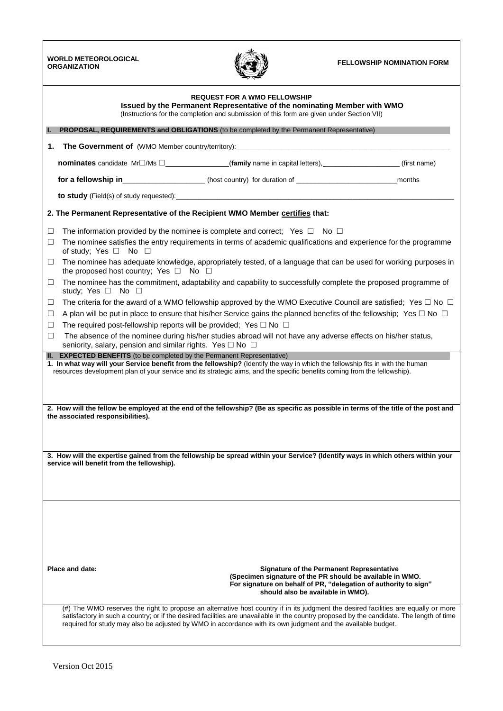**WORLD METEOROLOGICAL ORGANIZATION FELLOWSHIP NOMINATION FORM**



|                                                                                                                                                                              |                                                                                                                                                                                                                                                             | <b>REQUEST FOR A WMO FELLOWSHIP</b><br>Issued by the Permanent Representative of the nominating Member with WMO<br>(Instructions for the completion and submission of this form are given under Section VII)                                                                                                                                                  |              |  |  |  |  |  |  |  |
|------------------------------------------------------------------------------------------------------------------------------------------------------------------------------|-------------------------------------------------------------------------------------------------------------------------------------------------------------------------------------------------------------------------------------------------------------|---------------------------------------------------------------------------------------------------------------------------------------------------------------------------------------------------------------------------------------------------------------------------------------------------------------------------------------------------------------|--------------|--|--|--|--|--|--|--|
|                                                                                                                                                                              | PROPOSAL, REQUIREMENTS and OBLIGATIONS (to be completed by the Permanent Representative)                                                                                                                                                                    |                                                                                                                                                                                                                                                                                                                                                               |              |  |  |  |  |  |  |  |
| 1.                                                                                                                                                                           |                                                                                                                                                                                                                                                             |                                                                                                                                                                                                                                                                                                                                                               |              |  |  |  |  |  |  |  |
|                                                                                                                                                                              |                                                                                                                                                                                                                                                             |                                                                                                                                                                                                                                                                                                                                                               | (first name) |  |  |  |  |  |  |  |
|                                                                                                                                                                              | for a fellowship in_______________________(host country) for duration of __________________________                                                                                                                                                         |                                                                                                                                                                                                                                                                                                                                                               | months       |  |  |  |  |  |  |  |
|                                                                                                                                                                              |                                                                                                                                                                                                                                                             |                                                                                                                                                                                                                                                                                                                                                               |              |  |  |  |  |  |  |  |
|                                                                                                                                                                              | 2. The Permanent Representative of the Recipient WMO Member certifies that:                                                                                                                                                                                 |                                                                                                                                                                                                                                                                                                                                                               |              |  |  |  |  |  |  |  |
| ⊔                                                                                                                                                                            | The information provided by the nominee is complete and correct; Yes $\Box$ No $\Box$                                                                                                                                                                       |                                                                                                                                                                                                                                                                                                                                                               |              |  |  |  |  |  |  |  |
| □                                                                                                                                                                            | The nominee satisfies the entry requirements in terms of academic qualifications and experience for the programme<br>of study; Yes $\Box$ No $\Box$                                                                                                         |                                                                                                                                                                                                                                                                                                                                                               |              |  |  |  |  |  |  |  |
| ⊔                                                                                                                                                                            | The nominee has adequate knowledge, appropriately tested, of a language that can be used for working purposes in<br>the proposed host country; Yes $\Box$ No $\Box$                                                                                         |                                                                                                                                                                                                                                                                                                                                                               |              |  |  |  |  |  |  |  |
| □                                                                                                                                                                            | study; Yes $\Box$ No $\Box$                                                                                                                                                                                                                                 | The nominee has the commitment, adaptability and capability to successfully complete the proposed programme of                                                                                                                                                                                                                                                |              |  |  |  |  |  |  |  |
| ⊔                                                                                                                                                                            |                                                                                                                                                                                                                                                             | The criteria for the award of a WMO fellowship approved by the WMO Executive Council are satisfied; Yes $\Box$ No $\Box$                                                                                                                                                                                                                                      |              |  |  |  |  |  |  |  |
| □                                                                                                                                                                            |                                                                                                                                                                                                                                                             | A plan will be put in place to ensure that his/her Service gains the planned benefits of the fellowship; Yes $\Box$ No $\Box$                                                                                                                                                                                                                                 |              |  |  |  |  |  |  |  |
| □                                                                                                                                                                            | The required post-fellowship reports will be provided; Yes $\Box$ No $\Box$                                                                                                                                                                                 |                                                                                                                                                                                                                                                                                                                                                               |              |  |  |  |  |  |  |  |
| □                                                                                                                                                                            | seniority, salary, pension and similar rights. Yes $\square$ No $\square$<br><b>EXPECTED BENEFITS</b> (to be completed by the Permanent Representative)                                                                                                     | The absence of the nominee during his/her studies abroad will not have any adverse effects on his/her status,                                                                                                                                                                                                                                                 |              |  |  |  |  |  |  |  |
|                                                                                                                                                                              | 1. In what way will your Service benefit from the fellowship? (Identify the way in which the fellowship fits in with the human<br>resources development plan of your service and its strategic aims, and the specific benefits coming from the fellowship). |                                                                                                                                                                                                                                                                                                                                                               |              |  |  |  |  |  |  |  |
|                                                                                                                                                                              | 2. How will the fellow be employed at the end of the fellowship? (Be as specific as possible in terms of the title of the post and<br>the associated responsibilities).                                                                                     |                                                                                                                                                                                                                                                                                                                                                               |              |  |  |  |  |  |  |  |
| 3. How will the expertise gained from the fellowship be spread within your Service? (Identify ways in which others within your<br>service will benefit from the fellowship). |                                                                                                                                                                                                                                                             |                                                                                                                                                                                                                                                                                                                                                               |              |  |  |  |  |  |  |  |
|                                                                                                                                                                              | Place and date:                                                                                                                                                                                                                                             | <b>Signature of the Permanent Representative</b><br>(Specimen signature of the PR should be available in WMO.<br>For signature on behalf of PR, "delegation of authority to sign"<br>should also be available in WMO).<br>(#) The WMO reserves the right to propose an alternative host country if in its judgment the desired facilities are equally or more |              |  |  |  |  |  |  |  |
|                                                                                                                                                                              |                                                                                                                                                                                                                                                             | satisfactory in such a country; or if the desired facilities are unavailable in the country proposed by the candidate. The length of time<br>required for study may also be adjusted by WMO in accordance with its own judgment and the available budget.                                                                                                     |              |  |  |  |  |  |  |  |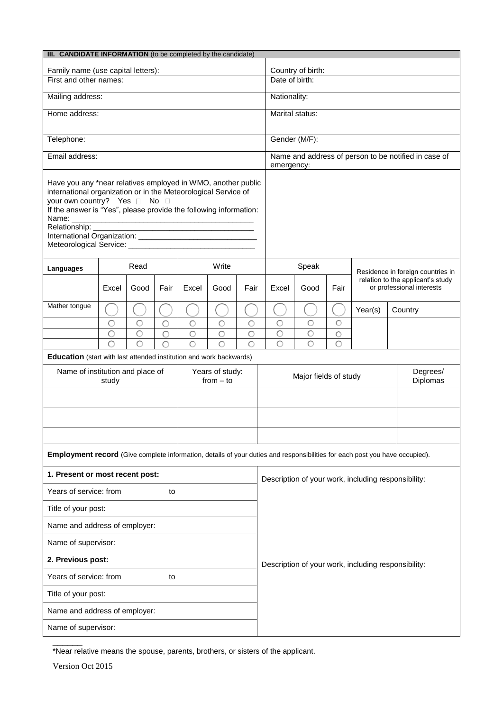| III. CANDIDATE INFORMATION (to be completed by the candidate)                                                                                                                                                                                                                                                                                                                                                                                    |        |                         |        |                    |                    |                                               |                                                     |                                                                    |                           |                                   |  |                                                                |  |
|--------------------------------------------------------------------------------------------------------------------------------------------------------------------------------------------------------------------------------------------------------------------------------------------------------------------------------------------------------------------------------------------------------------------------------------------------|--------|-------------------------|--------|--------------------|--------------------|-----------------------------------------------|-----------------------------------------------------|--------------------------------------------------------------------|---------------------------|-----------------------------------|--|----------------------------------------------------------------|--|
| Family name (use capital letters):                                                                                                                                                                                                                                                                                                                                                                                                               |        |                         |        |                    |                    |                                               | Country of birth:                                   |                                                                    |                           |                                   |  |                                                                |  |
| First and other names:                                                                                                                                                                                                                                                                                                                                                                                                                           |        |                         |        |                    |                    |                                               |                                                     | Date of birth:                                                     |                           |                                   |  |                                                                |  |
| Mailing address:                                                                                                                                                                                                                                                                                                                                                                                                                                 |        |                         |        |                    |                    |                                               |                                                     | Nationality:                                                       |                           |                                   |  |                                                                |  |
| Home address:                                                                                                                                                                                                                                                                                                                                                                                                                                    |        |                         |        |                    |                    |                                               |                                                     | Marital status:                                                    |                           |                                   |  |                                                                |  |
| Telephone:                                                                                                                                                                                                                                                                                                                                                                                                                                       |        |                         |        |                    |                    |                                               |                                                     | Gender (M/F):                                                      |                           |                                   |  |                                                                |  |
| Email address:                                                                                                                                                                                                                                                                                                                                                                                                                                   |        |                         |        |                    |                    |                                               |                                                     | Name and address of person to be notified in case of<br>emergency: |                           |                                   |  |                                                                |  |
| Have you any *near relatives employed in WMO, another public<br>international organization or in the Meteorological Service of<br>your own country? Yes No D<br>If the answer is "Yes", please provide the following information:<br>Name:<br><u> 1980 - Jan Barbara, martxa al II-lea (h. 1980).</u><br>Relationship:<br><u> 1980 - Johann Stein, marwolaethau a bhann an t-Albann an t-Albann an t-Albann an t-Albann an t-Albann an t-Alb</u> |        |                         |        |                    |                    |                                               |                                                     |                                                                    |                           |                                   |  |                                                                |  |
| Languages                                                                                                                                                                                                                                                                                                                                                                                                                                        |        | Read                    |        |                    | Write              |                                               |                                                     | Speak                                                              |                           | Residence in foreign countries in |  |                                                                |  |
|                                                                                                                                                                                                                                                                                                                                                                                                                                                  | Excel  | Good                    | Fair   | Excel              | Good               | Fair                                          | Excel                                               | Good                                                               | Fair                      |                                   |  | relation to the applicant's study<br>or professional interests |  |
| Mather tongue                                                                                                                                                                                                                                                                                                                                                                                                                                    |        |                         |        |                    |                    |                                               |                                                     |                                                                    |                           | Year(s)                           |  | Country                                                        |  |
|                                                                                                                                                                                                                                                                                                                                                                                                                                                  | O      | О                       | C      | O                  | $\circ$            | O                                             | $\circ$                                             | О                                                                  | О                         |                                   |  |                                                                |  |
|                                                                                                                                                                                                                                                                                                                                                                                                                                                  | О<br>Ċ | O<br>$\overline{\circ}$ | О<br>C | $\circ$<br>$\circ$ | $\circ$<br>$\circ$ | $\circ$<br>$\circ$                            | $\circ$<br>$\overline{O}$                           | $\circ$<br>$\overline{\circ}$                                      | $\circ$<br>$\overline{O}$ |                                   |  |                                                                |  |
| Education (start with last attended institution and work backwards)                                                                                                                                                                                                                                                                                                                                                                              |        |                         |        |                    |                    |                                               |                                                     |                                                                    |                           |                                   |  |                                                                |  |
| Name of institution and place of<br>Years of study:<br>$from - to$<br>study                                                                                                                                                                                                                                                                                                                                                                      |        |                         |        |                    |                    | Degrees/<br>Major fields of study<br>Diplomas |                                                     |                                                                    |                           |                                   |  |                                                                |  |
|                                                                                                                                                                                                                                                                                                                                                                                                                                                  |        |                         |        |                    |                    |                                               |                                                     |                                                                    |                           |                                   |  |                                                                |  |
|                                                                                                                                                                                                                                                                                                                                                                                                                                                  |        |                         |        |                    |                    |                                               |                                                     |                                                                    |                           |                                   |  |                                                                |  |
|                                                                                                                                                                                                                                                                                                                                                                                                                                                  |        |                         |        |                    |                    |                                               |                                                     |                                                                    |                           |                                   |  |                                                                |  |
| Employment record (Give complete information, details of your duties and responsibilities for each post you have occupied).                                                                                                                                                                                                                                                                                                                      |        |                         |        |                    |                    |                                               |                                                     |                                                                    |                           |                                   |  |                                                                |  |
| 1. Present or most recent post:                                                                                                                                                                                                                                                                                                                                                                                                                  |        |                         |        |                    |                    |                                               |                                                     | Description of your work, including responsibility:                |                           |                                   |  |                                                                |  |
| Years of service: from<br>to                                                                                                                                                                                                                                                                                                                                                                                                                     |        |                         |        |                    |                    |                                               |                                                     |                                                                    |                           |                                   |  |                                                                |  |
| Title of your post:                                                                                                                                                                                                                                                                                                                                                                                                                              |        |                         |        |                    |                    |                                               |                                                     |                                                                    |                           |                                   |  |                                                                |  |
| Name and address of employer:                                                                                                                                                                                                                                                                                                                                                                                                                    |        |                         |        |                    |                    |                                               |                                                     |                                                                    |                           |                                   |  |                                                                |  |
| Name of supervisor:                                                                                                                                                                                                                                                                                                                                                                                                                              |        |                         |        |                    |                    |                                               |                                                     |                                                                    |                           |                                   |  |                                                                |  |
| 2. Previous post:                                                                                                                                                                                                                                                                                                                                                                                                                                |        |                         |        |                    |                    |                                               | Description of your work, including responsibility: |                                                                    |                           |                                   |  |                                                                |  |
| Years of service: from<br>to                                                                                                                                                                                                                                                                                                                                                                                                                     |        |                         |        |                    |                    |                                               |                                                     |                                                                    |                           |                                   |  |                                                                |  |
| Title of your post:                                                                                                                                                                                                                                                                                                                                                                                                                              |        |                         |        |                    |                    |                                               |                                                     |                                                                    |                           |                                   |  |                                                                |  |
| Name and address of employer:                                                                                                                                                                                                                                                                                                                                                                                                                    |        |                         |        |                    |                    |                                               |                                                     |                                                                    |                           |                                   |  |                                                                |  |
| Name of supervisor:                                                                                                                                                                                                                                                                                                                                                                                                                              |        |                         |        |                    |                    |                                               |                                                     |                                                                    |                           |                                   |  |                                                                |  |
|                                                                                                                                                                                                                                                                                                                                                                                                                                                  |        |                         |        |                    |                    |                                               |                                                     |                                                                    |                           |                                   |  |                                                                |  |

\*Near relative means the spouse, parents, brothers, or sisters of the applicant.

Version Oct 2015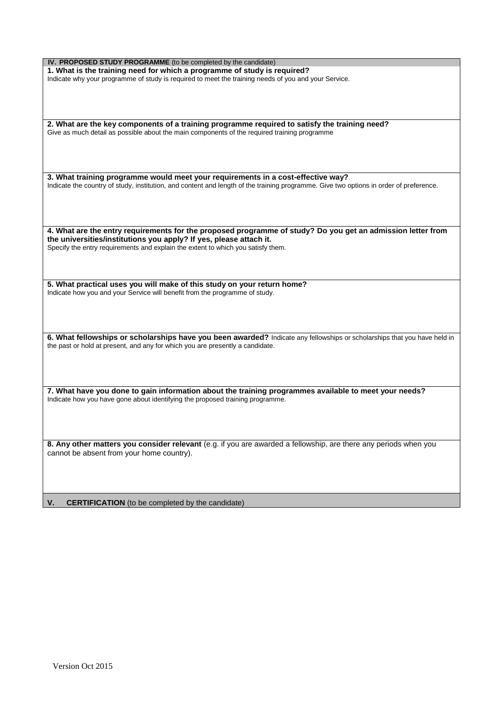| IV. PROPOSED STUDY PROGRAMME (to be completed by the candidate)                                                                        |
|----------------------------------------------------------------------------------------------------------------------------------------|
| 1. What is the training need for which a programme of study is required?                                                               |
| Indicate why your programme of study is required to meet the training needs of you and your Service.                                   |
|                                                                                                                                        |
|                                                                                                                                        |
|                                                                                                                                        |
|                                                                                                                                        |
|                                                                                                                                        |
|                                                                                                                                        |
| 2. What are the key components of a training programme required to satisfy the training need?                                          |
| Give as much detail as possible about the main components of the required training programme                                           |
|                                                                                                                                        |
|                                                                                                                                        |
|                                                                                                                                        |
|                                                                                                                                        |
|                                                                                                                                        |
| 3. What training programme would meet your requirements in a cost-effective way?                                                       |
|                                                                                                                                        |
| Indicate the country of study, institution, and content and length of the training programme. Give two options in order of preference. |
|                                                                                                                                        |
|                                                                                                                                        |
|                                                                                                                                        |
|                                                                                                                                        |
|                                                                                                                                        |
| 4. What are the entry requirements for the proposed programme of study? Do you get an admission letter from                            |
|                                                                                                                                        |
| the universities/institutions you apply? If yes, please attach it.                                                                     |
| Specify the entry requirements and explain the extent to which you satisfy them.                                                       |
|                                                                                                                                        |
|                                                                                                                                        |
|                                                                                                                                        |
|                                                                                                                                        |
| 5. What practical uses you will make of this study on your return home?                                                                |
|                                                                                                                                        |
| Indicate how you and your Service will benefit from the programme of study.                                                            |
|                                                                                                                                        |
|                                                                                                                                        |
|                                                                                                                                        |
|                                                                                                                                        |
|                                                                                                                                        |
| 6. What fellowships or scholarships have you been awarded? Indicate any fellowships or scholarships that you have held in              |
|                                                                                                                                        |
| the past or hold at present, and any for which you are presently a candidate.                                                          |
|                                                                                                                                        |
|                                                                                                                                        |
|                                                                                                                                        |
|                                                                                                                                        |
|                                                                                                                                        |
| 7. What have you done to gain information about the training programmes available to meet your needs?                                  |
|                                                                                                                                        |
| Indicate how you have gone about identifying the proposed training programme.                                                          |
|                                                                                                                                        |
|                                                                                                                                        |
|                                                                                                                                        |
|                                                                                                                                        |
|                                                                                                                                        |
| 8. Any other matters you consider relevant (e.g. if you are awarded a fellowship, are there any periods when you                       |
|                                                                                                                                        |
| cannot be absent from your home country).                                                                                              |
|                                                                                                                                        |
|                                                                                                                                        |
|                                                                                                                                        |
|                                                                                                                                        |
|                                                                                                                                        |
|                                                                                                                                        |
| <b>CERTIFICATION</b> (to be completed by the candidate)<br>V.                                                                          |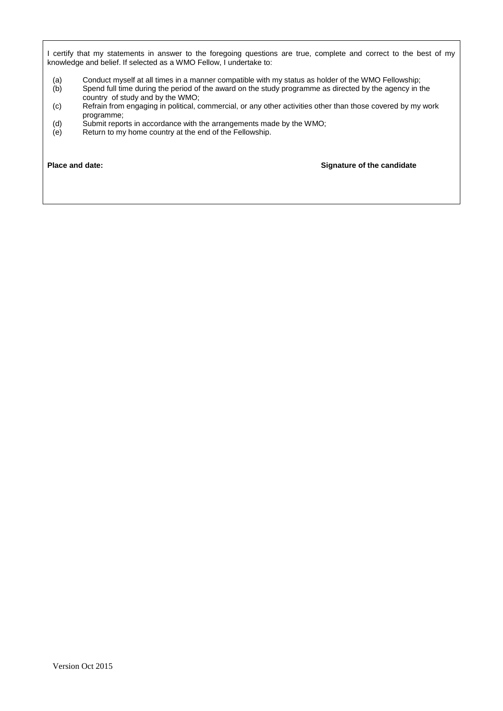I certify that my statements in answer to the foregoing questions are true, complete and correct to the best of my knowledge and belief. If selected as a WMO Fellow, I undertake to:

- (a) Conduct myself at all times in a manner compatible with my status as holder of the WMO Fellowship;<br>(b) Spend full time during the period of the award on the study programme as directed by the agency in t
- Spend full time during the period of the award on the study programme as directed by the agency in the country of study and by the WMO;
- (c) Refrain from engaging in political, commercial, or any other activities other than those covered by my work programme;
- (d) Submit reports in accordance with the arrangements made by the WMO;
- (e) Return to my home country at the end of the Fellowship.

**Place and date: Signature of the candidate**